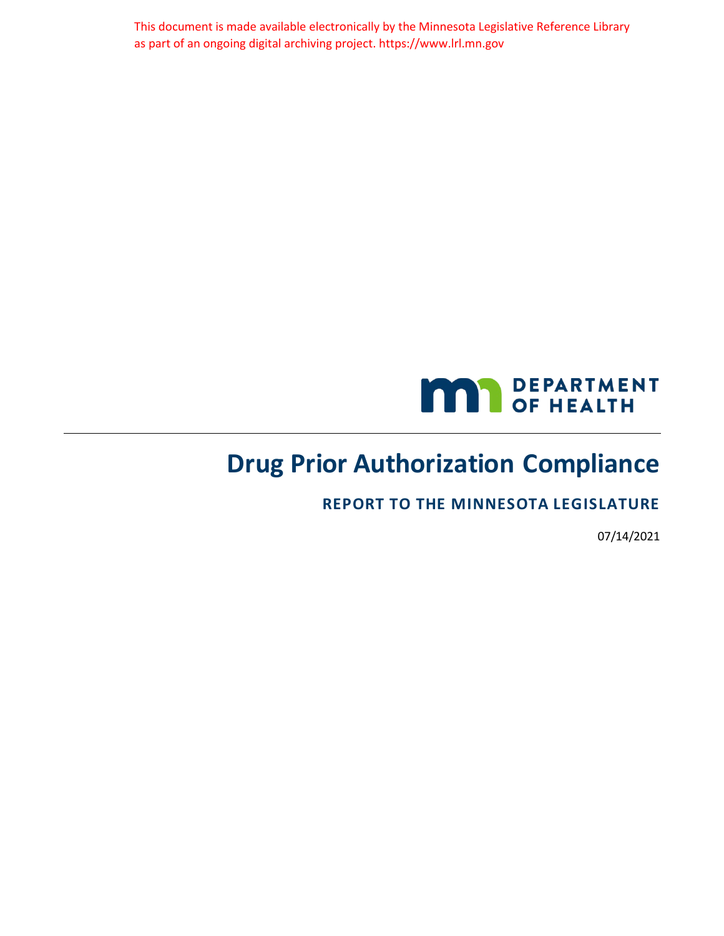This document is made available electronically by the Minnesota Legislative Reference Library as part of an ongoing digital archiving project. https://www.lrl.mn.gov



# **Drug Prior Authorization Compliance**

**REPORT TO THE MINNESOTA LEGISLATURE**

07/14/2021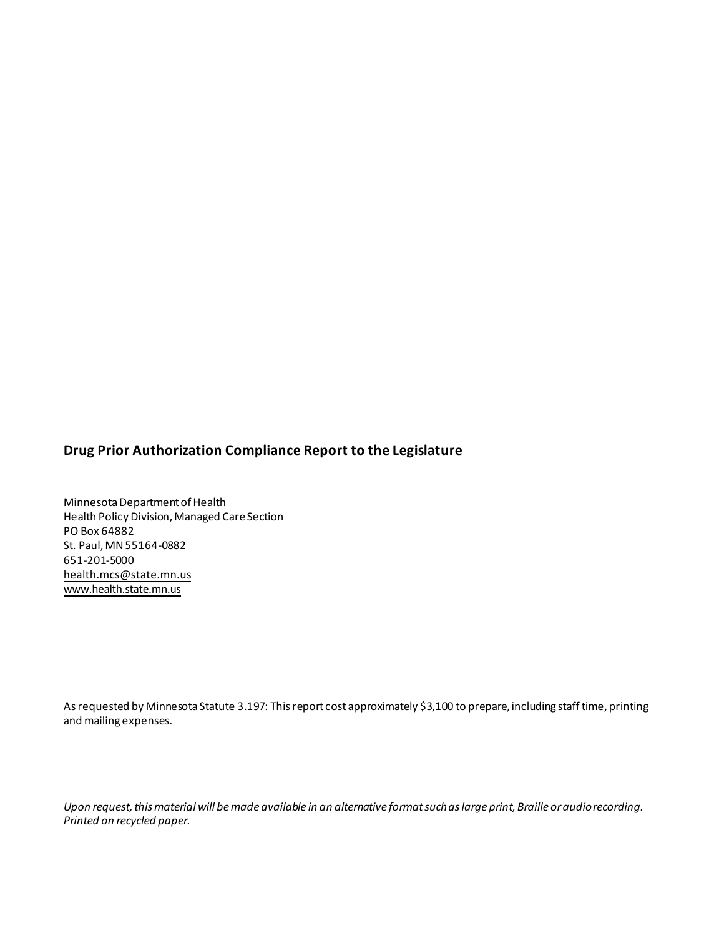### **Drug Prior Authorization Compliance Report to the Legislature**

Minnesota Department of Health Health Policy Division, Managed Care Section PO Box 64882 St. Paul, MN55164-0882 651-201-5000 [health.mcs@state.mn.us](mailto:health.mcs@state.mn.us) [www.health.state.mn.us](http://www.health.state.mn.us/)

As requested by Minnesota Statute 3.197: This report cost approximately \$3,100 to prepare, including staff time, printing and mailing expenses.

*Upon request, this material will be made available in an alternative format such as large print, Braille or audio recording. Printed on recycled paper.*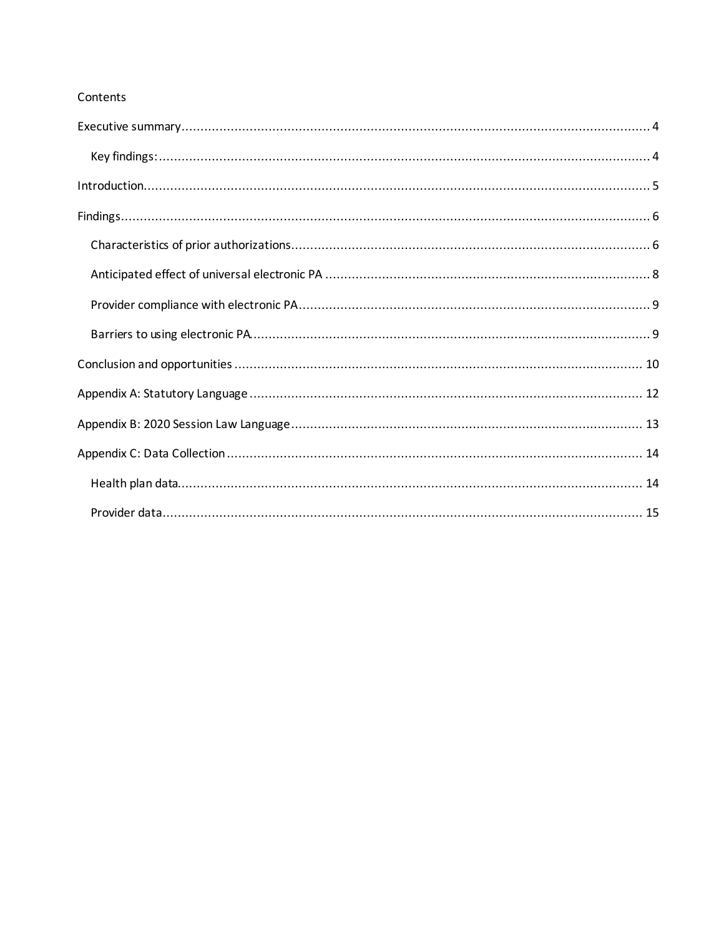### Contents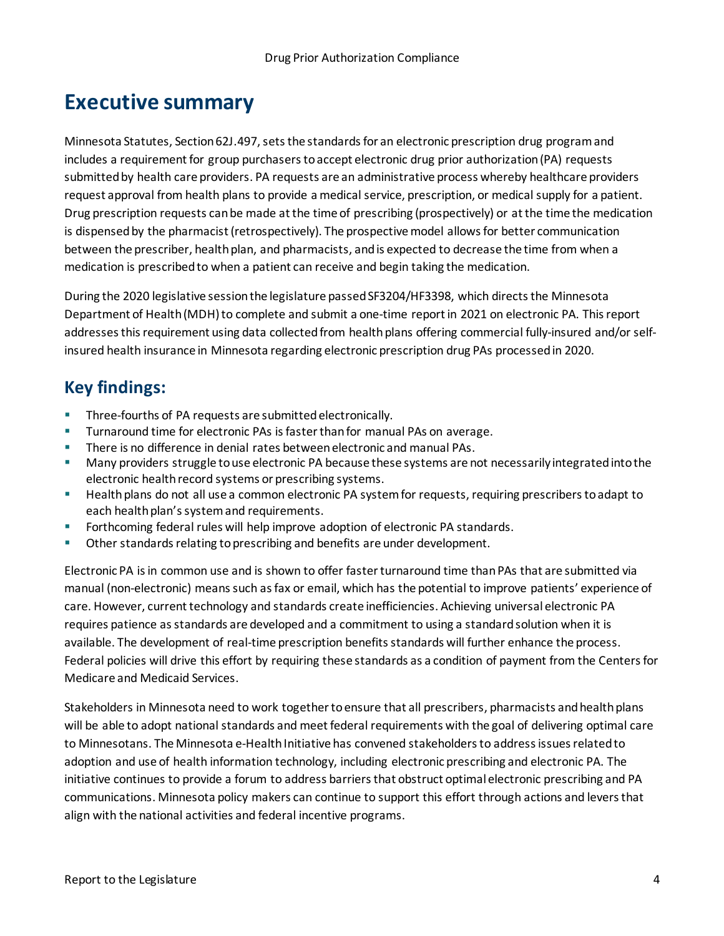# <span id="page-3-0"></span>**Executive summary**

Minnesota Statutes, Section 62J.497, sets the standards for an electronic prescription drug program and includes a requirement for group purchasers to accept electronic drug prior authorization (PA) requests submitted by health care providers. PA requests are an administrative process whereby healthcare providers request approval from health plans to provide a medical service, prescription, or medical supply for a patient. Drug prescription requests can be made at the time of prescribing (prospectively) or at the time the medication is dispensed by the pharmacist (retrospectively). The prospective model allows for better communication between the prescriber, health plan, and pharmacists, and is expected to decrease the time from when a medication is prescribed to when a patient can receive and begin taking the medication.

During the 2020 legislative session the legislature passed SF3204/HF3398, which directs the Minnesota Department of Health (MDH) to complete and submit a one-time report in 2021 on electronic PA. This report addresses this requirement using data collected from health plans offering commercial fully-insured and/or selfinsured health insurance in Minnesota regarding electronic prescription drug PAs processed in 2020.

## <span id="page-3-1"></span>**Key findings:**

- Three-fourths of PA requests are submitted electronically.
- Turnaround time for electronic PAs is faster than for manual PAs on average.
- **There is no difference in denial rates between electronic and manual PAs.**
- **Many providers struggle to use electronic PA because these systems are not necessarily integrated into the** electronic health record systems or prescribing systems.
- **EXECT** Health plans do not all use a common electronic PA system for requests, requiring prescribers to adapt to each health plan's system and requirements.
- **Forthcoming federal rules will help improve adoption of electronic PA standards.**
- Other standards relating to prescribing and benefits are under development.

Electronic PA is in common use and is shown to offer faster turnaround time than PAs that are submitted via manual (non-electronic) means such as fax or email, which has the potential to improve patients' experience of care. However, current technology and standards create inefficiencies. Achieving universal electronic PA requires patience as standards are developed and a commitment to using a standard solution when it is available. The development of real-time prescription benefits standards will further enhance the process. Federal policies will drive this effort by requiring these standards as a condition of payment from the Centers for Medicare and Medicaid Services.

Stakeholders in Minnesota need to work together to ensure that all prescribers, pharmacists and health plans will be able to adopt national standards and meet federal requirements with the goal of delivering optimal care to Minnesotans. The Minnesota e-Health Initiative has convened stakeholders to address issues related to adoption and use of health information technology, including electronic prescribing and electronic PA. The initiative continues to provide a forum to address barriers that obstruct optimal electronic prescribing and PA communications. Minnesota policy makers can continue to support this effort through actions and levers that align with the national activities and federal incentive programs.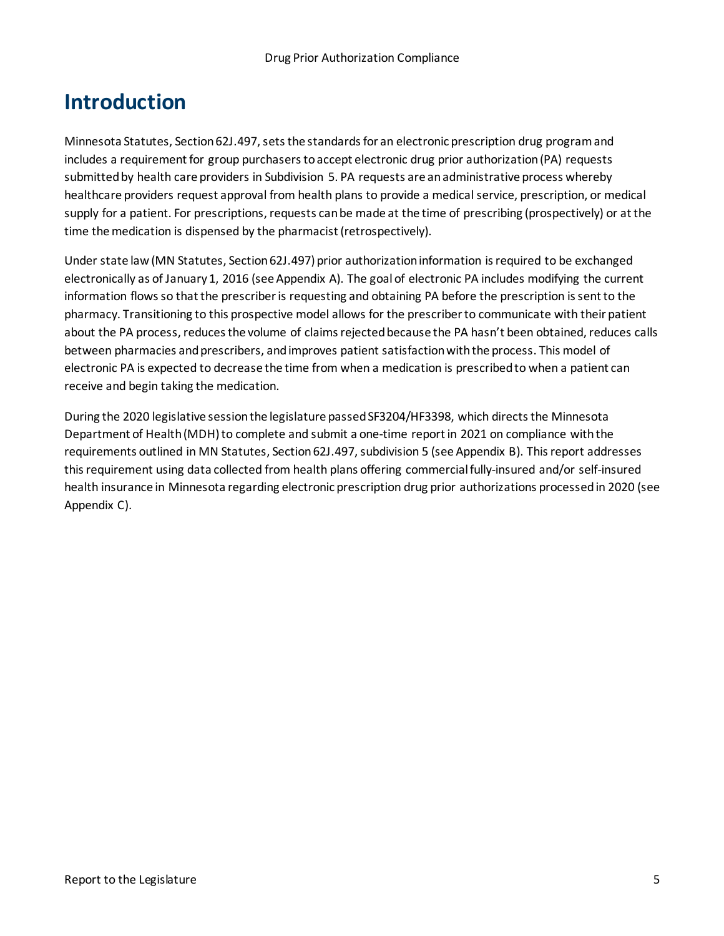# <span id="page-4-0"></span>**Introduction**

Minnesota Statutes, Section 62J.497, sets the standards for an electronic prescription drug programand includes a requirement for group purchasers to accept electronic drug prior authorization (PA) requests submitted by health care providers in Subdivision 5. PA requests are an administrative process whereby healthcare providers request approval from health plans to provide a medical service, prescription, or medical supply for a patient. For prescriptions, requests can be made at the time of prescribing (prospectively) or at the time the medication is dispensed by the pharmacist (retrospectively).

Under state law (MN Statutes, Section62J.497) prior authorization information is required to be exchanged electronically as of January 1, 2016 (see Appendix A). The goal of electronic PA includes modifying the current information flows so that the prescriberis requesting and obtaining PA before the prescription is sent to the pharmacy. Transitioning to this prospective model allows for the prescriber to communicate with their patient about the PA process, reduces the volume of claims rejected because the PA hasn't been obtained, reduces calls between pharmacies and prescribers, and improves patient satisfaction with the process. This model of electronic PA is expected to decrease the time from when a medication is prescribed to when a patient can receive and begin taking the medication.

During the 2020 legislative session the legislature passed SF3204/HF3398, which directs the Minnesota Department of Health (MDH) to complete and submit a one-time report in 2021 on compliance with the requirements outlined in MN Statutes, Section 62J.497, subdivision 5 (see Appendix B). This report addresses this requirement using data collected from health plans offering commercial fully-insured and/or self-insured health insurance in Minnesota regarding electronic prescription drug prior authorizations processed in 2020 (see Appendix C).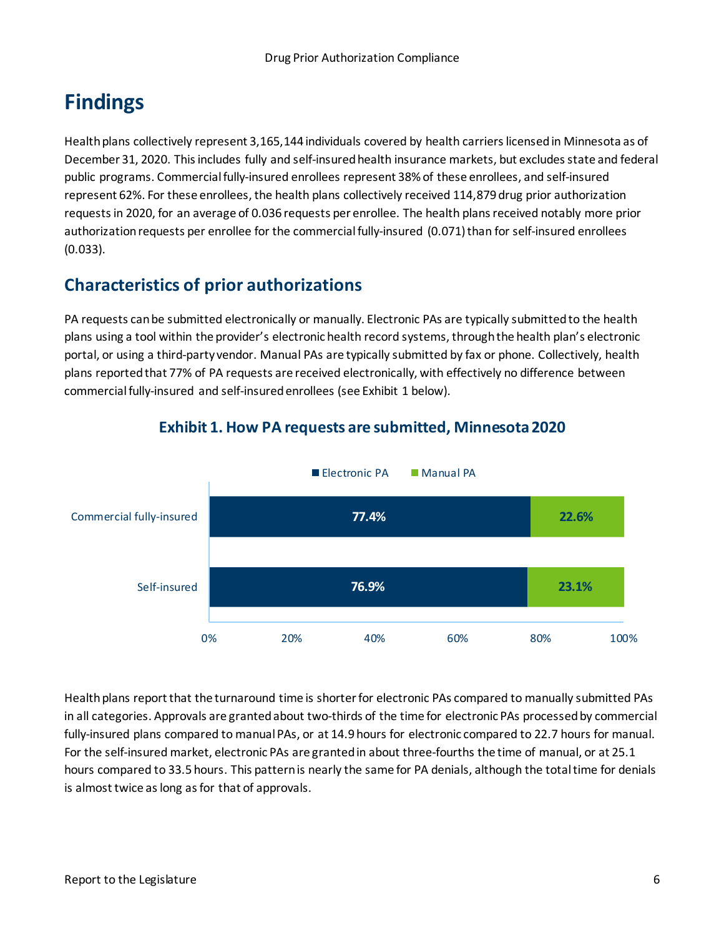# <span id="page-5-0"></span>**Findings**

Health plans collectively represent 3,165,144 individuals covered by health carriers licensed in Minnesota as of December 31, 2020. This includes fully and self-insured health insurance markets, but excludes state and federal public programs. Commercial fully-insured enrollees represent 38% of these enrollees, and self-insured represent 62%. For these enrollees, the health plans collectively received 114,879 drug prior authorization requests in 2020, for an average of 0.036 requests per enrollee. The health plans received notably more prior authorization requests per enrollee for the commercial fully-insured (0.071) than for self-insured enrollees (0.033).

## <span id="page-5-1"></span>**Characteristics of prior authorizations**

PA requests can be submitted electronically or manually. Electronic PAs are typically submitted to the health plans using a tool within the provider's electronic health record systems, through the health plan's electronic portal, or using a third-party vendor. Manual PAs are typically submitted by fax or phone. Collectively, health plans reported that 77% of PA requests are received electronically, with effectively no difference between commercial fully-insured and self-insured enrollees (see Exhibit 1 below).



### **Exhibit 1. How PA requests are submitted, Minnesota 2020**

Health plans report that the turnaround time is shorter for electronic PAs compared to manually submitted PAs in all categories. Approvals are granted about two-thirds of the time for electronic PAs processed by commercial fully-insured plans compared to manual PAs, or at 14.9 hours for electronic compared to 22.7 hours for manual. For the self-insured market, electronic PAs are granted in about three-fourths the time of manual, or at 25.1 hours compared to 33.5 hours. This pattern is nearly the same for PA denials, although the total time for denials is almost twice as long as for that of approvals.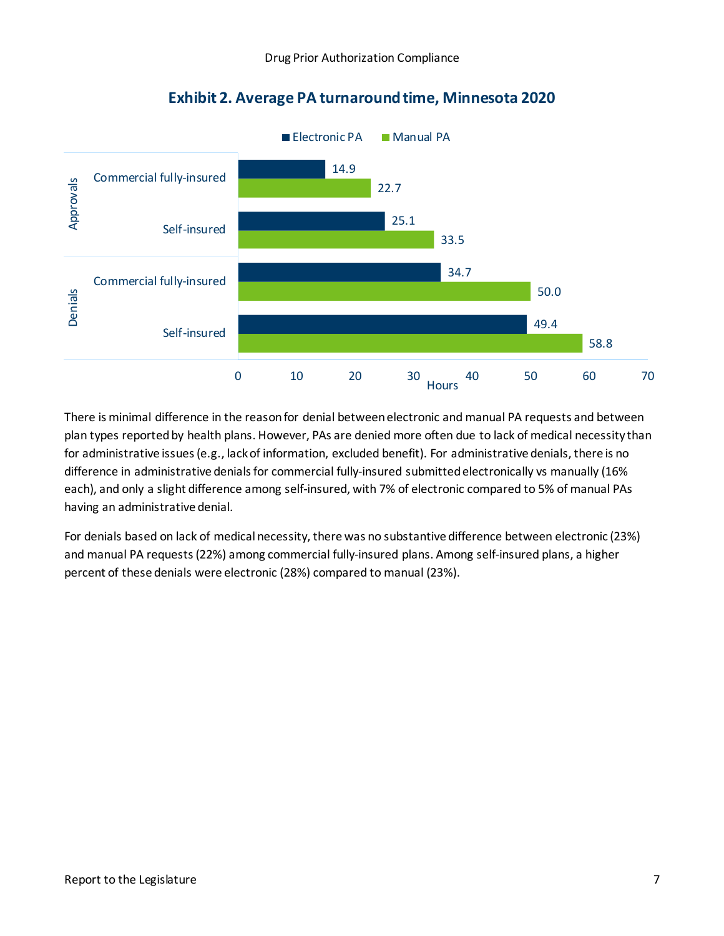

### **Exhibit 2. Average PA turnaround time, Minnesota 2020**

There is minimal difference in the reason for denial between electronic and manual PA requests and between plan types reported by health plans. However, PAs are denied more often due to lack of medical necessity than for administrative issues (e.g., lack of information, excluded benefit). For administrative denials, there is no difference in administrative denials for commercial fully-insured submitted electronically vs manually (16% each), and only a slight difference among self-insured, with 7% of electronic compared to 5% of manual PAs having an administrative denial.

For denials based on lack of medical necessity, there was no substantive difference between electronic (23%) and manual PA requests (22%) among commercial fully-insured plans. Among self-insured plans, a higher percent of these denials were electronic (28%) compared to manual (23%).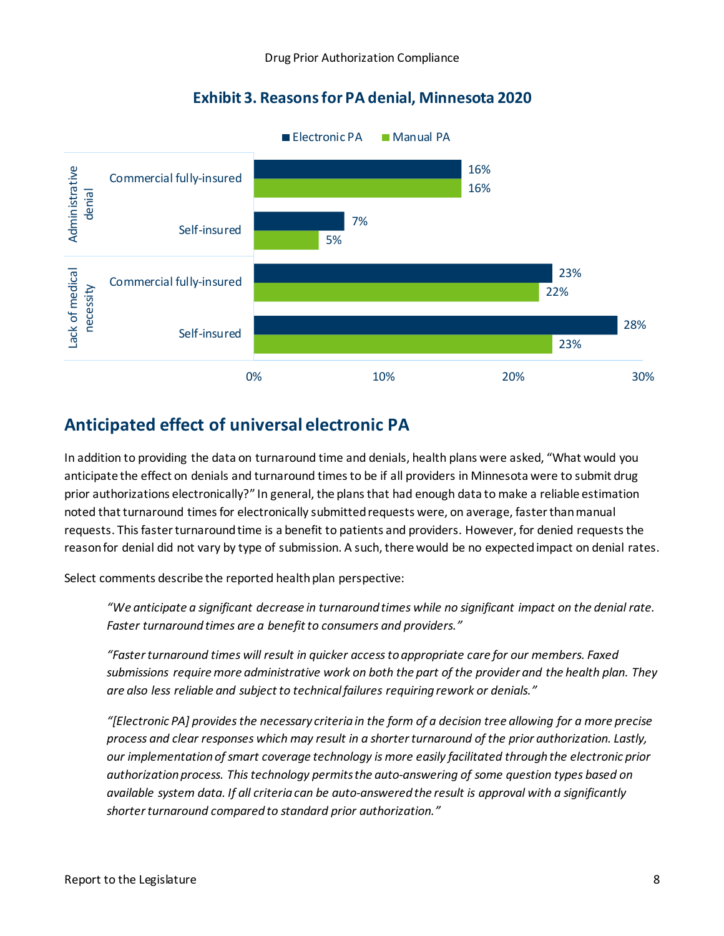### **Exhibit 3. Reasons for PA denial, Minnesota 2020**



## <span id="page-7-0"></span>**Anticipated effect of universal electronic PA**

In addition to providing the data on turnaround time and denials, health plans were asked, "What would you anticipate the effect on denials and turnaround times to be if all providers in Minnesota were to submit drug prior authorizations electronically?" In general, the plans that had enough data to make a reliable estimation noted that turnaround times for electronically submitted requests were, on average, faster than manual requests. This faster turnaround time is a benefit to patients and providers. However, for denied requests the reason for denial did not vary by type of submission. A such, there would be no expected impact on denial rates.

Select comments describe the reported health plan perspective:

*"We anticipate a significant decrease in turnaround times while no significant impact on the denial rate. Faster turnaround times are a benefit to consumers and providers."* 

*"Faster turnaround times will result in quicker access to appropriate care for our members. Faxed submissions require more administrative work on both the part of the provider and the health plan. They are also less reliable and subject to technical failures requiring rework or denials."* 

*"[Electronic PA] provides the necessary criteria in the form of a decision tree allowing for a more precise process and clear responses which may result in a shorter turnaround of the prior authorization. Lastly, our implementation of smart coverage technology is more easily facilitated through the electronic prior authorization process. This technology permits the auto-answering of some question types based on available system data. If all criteria can be auto-answered the result is approval with a significantly shorter turnaround compared to standard prior authorization."*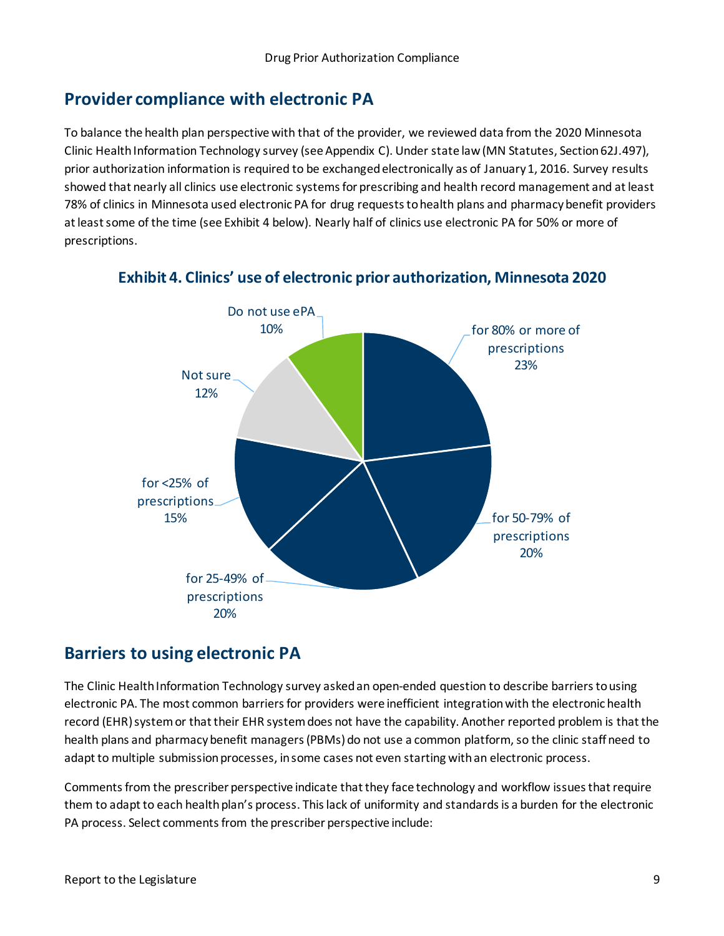## <span id="page-8-0"></span>**Provider compliance with electronic PA**

To balance the health plan perspective with that of the provider, we reviewed data from the 2020 Minnesota Clinic Health Information Technology survey (see Appendix C). Under state law (MN Statutes, Section 62J.497), prior authorization information is required to be exchanged electronically as of January 1, 2016. Survey results showed that nearly all clinics use electronic systems for prescribing and health record management and at least 78% of clinics in Minnesota used electronic PA for drug requests to health plans and pharmacy benefit providers at least some of the time (see Exhibit 4 below). Nearly half of clinics use electronic PA for 50% or more of prescriptions.



**Exhibit 4. Clinics' use of electronic prior authorization, Minnesota 2020**

### <span id="page-8-1"></span>**Barriers to using electronic PA**

The Clinic Health Information Technology survey asked an open-ended question to describe barriers to using electronic PA. The most common barriers for providers were inefficient integration with the electronic health record (EHR) system or that their EHR system does not have the capability. Another reported problem is that the health plans and pharmacy benefit managers (PBMs) do not use a common platform, so the clinic staff need to adapt to multiple submission processes, in some cases not even starting with an electronic process.

Comments from the prescriber perspective indicate that they face technology and workflow issues that require them to adapt to each health plan's process. This lack of uniformity and standards is a burden for the electronic PA process. Select comments from the prescriber perspective include: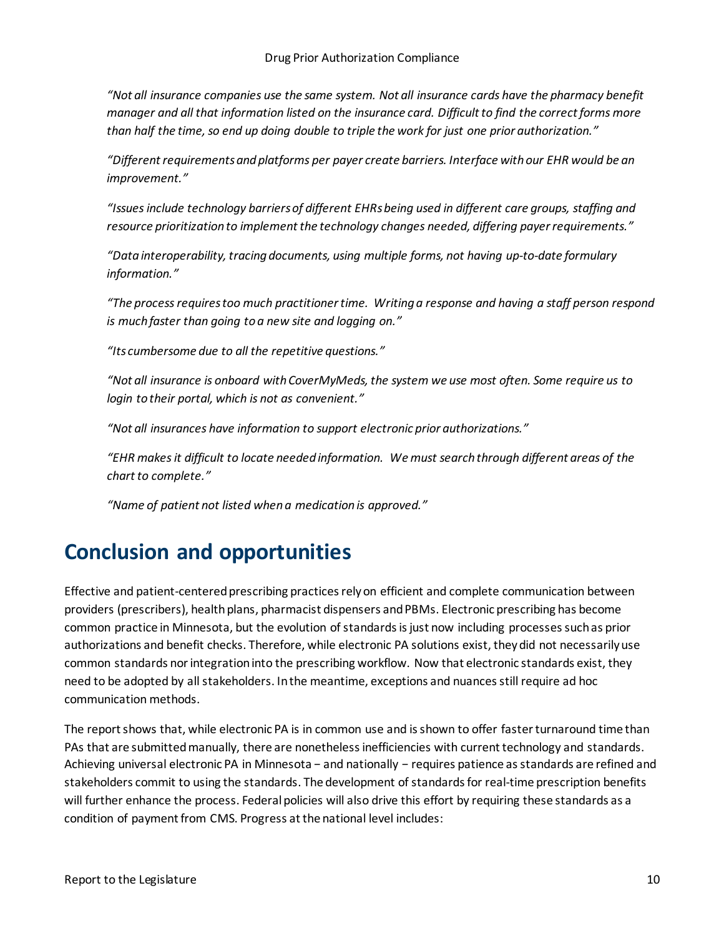*"Not all insurance companies use the same system. Not all insurance cards have the pharmacy benefit manager and all that information listed on the insurance card. Difficult to find the correct forms more than half the time, so end up doing double to triple the work for just one prior authorization."* 

*"Different requirements and platforms per payer create barriers. Interface with our EHR would be an improvement."* 

*"Issues include technology barriers of different EHRs being used in different care groups, staffing and resource prioritization to implement the technology changes needed, differing payer requirements."* 

*"Data interoperability, tracing documents, using multiple forms, not having up-to-date formulary information."* 

*"The process requires too much practitioner time. Writing a response and having a staff person respond is much faster than going to a new site and logging on."* 

*"Its cumbersome due to all the repetitive questions."* 

*"Not all insurance is onboard with CoverMyMeds, the system we use most often. Some require us to login to their portal, which is not as convenient."* 

*"Not all insurances have information to support electronic prior authorizations."* 

*"EHR makes it difficult to locate needed information. We must search through different areas of the chart to complete."* 

*"Name of patient not listed when a medication is approved."* 

## <span id="page-9-0"></span>**Conclusion and opportunities**

Effective and patient-centered prescribing practices rely on efficient and complete communication between providers (prescribers), health plans, pharmacist dispensers and PBMs. Electronic prescribing has become common practice in Minnesota, but the evolution of standards is just now including processes such as prior authorizations and benefit checks. Therefore, while electronic PA solutions exist, they did not necessarily use common standards nor integrationinto the prescribing workflow. Now that electronic standards exist, they need to be adopted by all stakeholders. In the meantime, exceptions and nuances still require ad hoc communication methods.

The report shows that, while electronic PA is in common use and is shown to offer faster turnaround time than PAs that are submitted manually, there are nonetheless inefficiencies with current technology and standards. Achieving universal electronic PA in Minnesota − and nationally − requires patience as standards are refined and stakeholders commit to using the standards. The development of standards for real-time prescription benefits will further enhance the process. Federal policies will also drive this effort by requiring these standards as a condition of payment from CMS. Progress at the national level includes: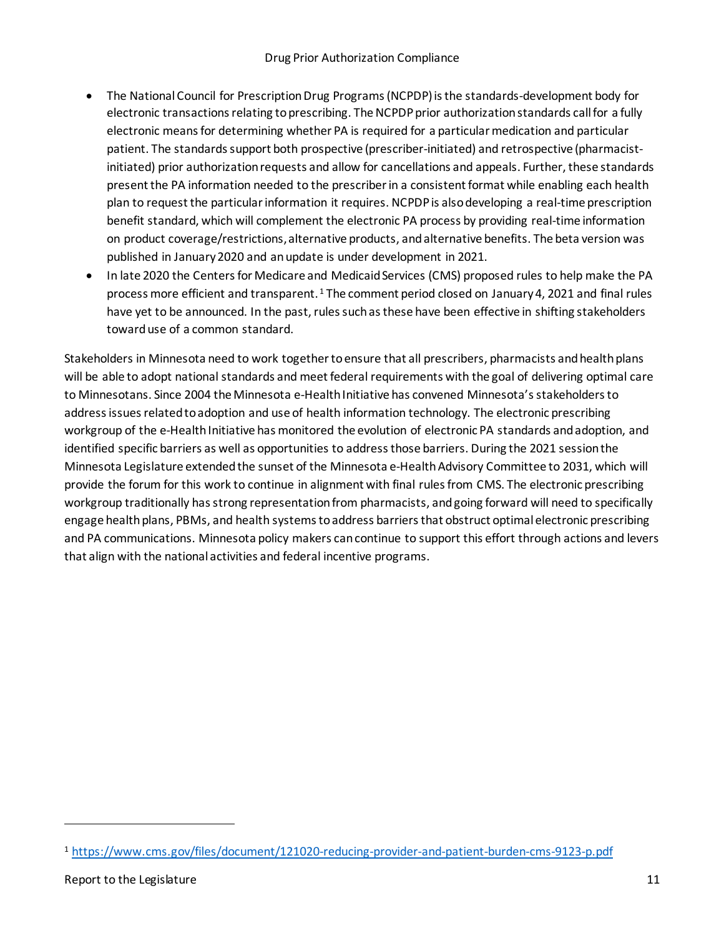- The National Council for Prescription Drug Programs (NCPDP) is the standards-development body for electronic transactions relating to prescribing. The NCPDP prior authorization standards call for a fully electronic means for determining whether PA is required for a particular medication and particular patient. The standards support both prospective (prescriber-initiated) and retrospective (pharmacistinitiated) prior authorization requests and allow for cancellations and appeals. Further, these standards present the PA information needed to the prescriber in a consistent format while enabling each health plan to request the particular information it requires. NCPDP is also developing a real-time prescription benefit standard, which will complement the electronic PA process by providing real-time information on product coverage/restrictions, alternative products, and alternative benefits. The beta version was published in January 2020 and an update is under development in 2021.
- In late 2020 the Centers for Medicare and Medicaid Services (CMS) proposed rules to help make the PA process more efficient and transparent.<sup>[1](#page-10-0)</sup> The comment period closed on January 4, 2021 and final rules have yet to be announced. In the past, rules such as these have been effective in shifting stakeholders toward use of a common standard.

Stakeholders in Minnesota need to work together to ensure that all prescribers, pharmacists and health plans will be able to adopt national standards and meet federal requirements with the goal of delivering optimal care to Minnesotans. Since 2004 the Minnesota e-Health Initiative has convened Minnesota's stakeholders to address issues related to adoption and use of health information technology. The electronic prescribing workgroup of the e-Health Initiative has monitored the evolution of electronic PA standards and adoption, and identified specific barriers as well as opportunities to address those barriers. During the 2021 session the Minnesota Legislature extended the sunset of the Minnesota e-Health Advisory Committee to 2031, which will provide the forum for this work to continue in alignment with final rules from CMS. The electronic prescribing workgroup traditionally has strong representation from pharmacists, and going forward will need to specifically engage health plans, PBMs, and health systems to address barriers that obstruct optimal electronic prescribing and PA communications. Minnesota policy makers can continue to support this effort through actions and levers that align with the national activities and federal incentive programs.

<span id="page-10-0"></span><sup>1</sup> <https://www.cms.gov/files/document/121020-reducing-provider-and-patient-burden-cms-9123-p.pdf>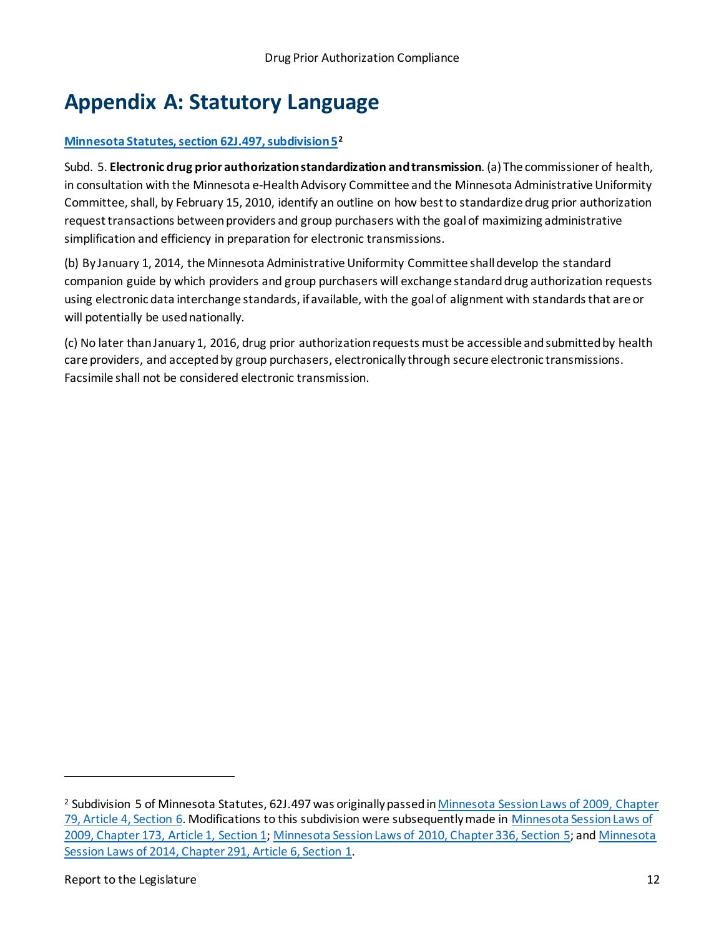# <span id="page-11-0"></span>**Appendix A: Statutory Language**

#### **[Minnesota Statutes, section 62J.497, subdivision 5](https://www.revisor.mn.gov/statutes/cite/62J.497)[2](#page-11-1)**

Subd. 5. **Electronic drug prior authorization standardization and transmission**. (a) The commissioner of health, in consultation with the Minnesota e-Health Advisory Committee and the Minnesota Administrative Uniformity Committee, shall, by February 15, 2010, identify an outline on how best to standardize drug prior authorization request transactions between providers and group purchasers with the goal of maximizing administrative simplification and efficiency in preparation for electronic transmissions.

(b) By January 1, 2014, the Minnesota Administrative Uniformity Committee shall develop the standard companion guide by which providers and group purchasers will exchange standard drug authorization requests using electronic data interchange standards, if available, with the goal of alignment with standards that are or will potentially be used nationally.

(c) No later than January 1, 2016, drug prior authorization requests must be accessible and submitted by health care providers, and accepted by group purchasers, electronically through secure electronic transmissions. Facsimile shall not be considered electronic transmission.

<span id="page-11-1"></span><sup>2</sup> Subdivision 5 of Minnesota Statutes, 62J.497 was originally passed i[n Minnesota Session Laws of 2009, Chapter](https://www.revisor.mn.gov/laws/2009/0/79/)  [79, Article 4, Section 6.](https://www.revisor.mn.gov/laws/2009/0/79/) Modifications to this subdivision were subsequently made in [Minnesota Session Laws of](https://www.revisor.mn.gov/laws/2009/0/173/)  [2009, Chapter 173, Article 1, Section 1;](https://www.revisor.mn.gov/laws/2009/0/173/) [Minnesota Session Laws of 2010, Chapter 336, Section 5;](https://www.revisor.mn.gov/laws/2010/0/336/) an[d Minnesota](https://www.revisor.mn.gov/laws/2014/0/291/)  [Session Laws of 2014, Chapter 291, Article 6, Section 1.](https://www.revisor.mn.gov/laws/2014/0/291/)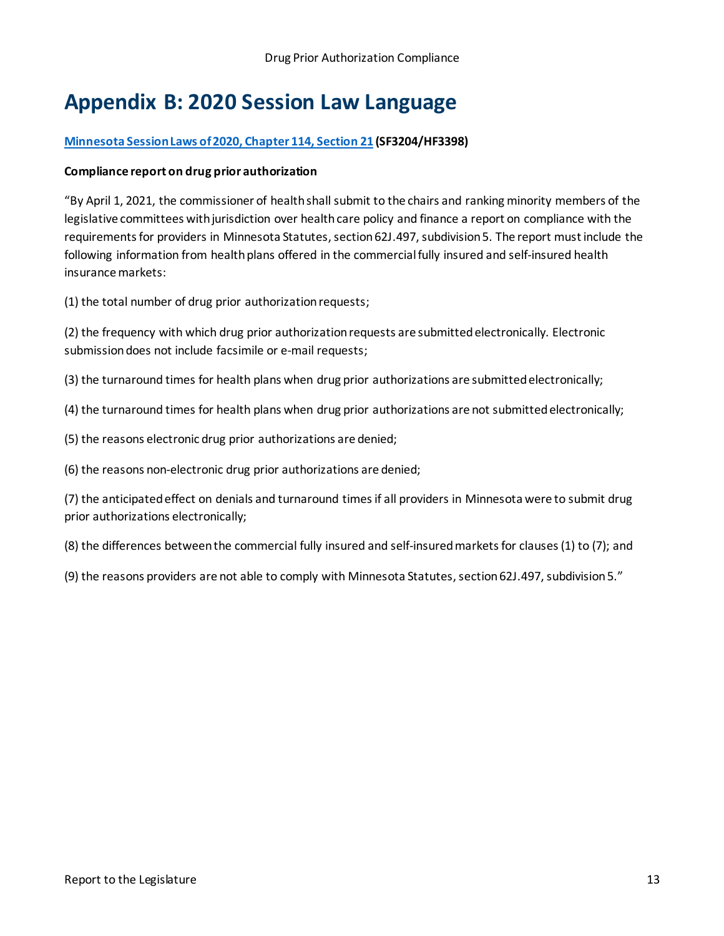# <span id="page-12-0"></span>**Appendix B: 2020 Session Law Language**

#### **Minnesota [Session Laws of 2020, Chapter 114, Section 21](https://www.revisor.mn.gov/laws/2020/0/Session+Law/Chapter/114/) (SF3204/HF3398)**

#### **Compliance report on drug prior authorization**

"By April 1, 2021, the commissioner of health shall submit to the chairs and ranking minority members of the legislative committees with jurisdiction over health care policy and finance a report on compliance with the requirements for providers in Minnesota Statutes, section 62J.497, subdivision 5. The report must include the following information from health plans offered in the commercial fully insured and self-insured health insurance markets:

(1) the total number of drug prior authorization requests;

(2) the frequency with which drug prior authorization requests are submitted electronically. Electronic submission does not include facsimile or e-mail requests;

(3) the turnaround times for health plans when drug prior authorizations are submitted electronically;

(4) the turnaround times for health plans when drug prior authorizations are not submitted electronically;

(5) the reasons electronic drug prior authorizations are denied;

(6) the reasons non-electronic drug prior authorizations are denied;

(7) the anticipated effect on denials and turnaround times if all providers in Minnesota were to submit drug prior authorizations electronically;

(8) the differences between the commercial fully insured and self-insured markets for clauses (1) to (7); and

(9) the reasons providers are not able to comply with Minnesota Statutes, section 62J.497, subdivision 5."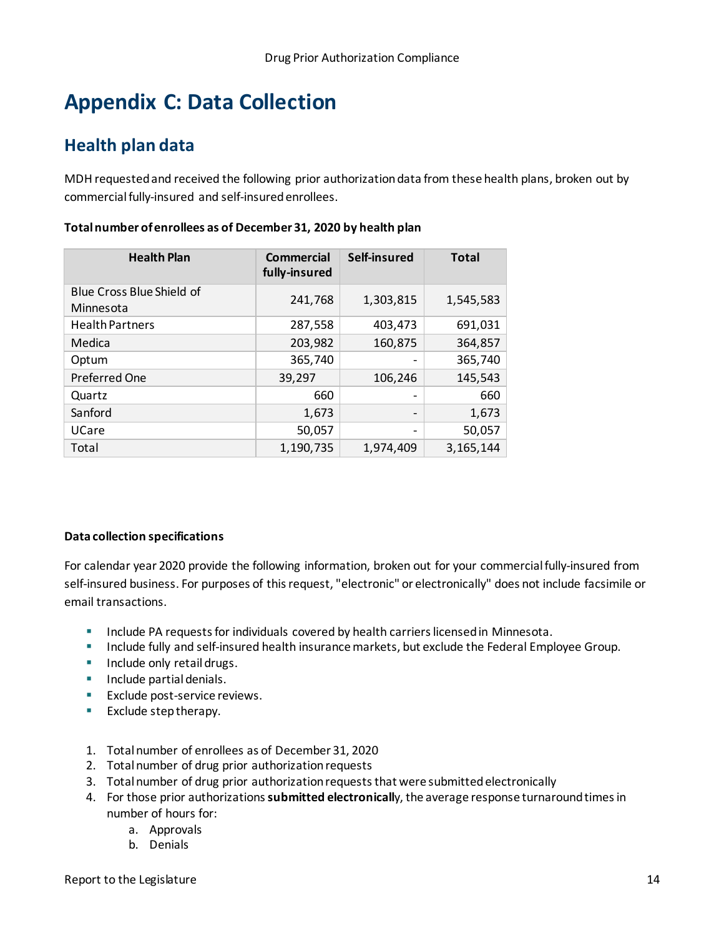# <span id="page-13-0"></span>**Appendix C: Data Collection**

## <span id="page-13-1"></span>**Health plan data**

MDH requested and received the following prior authorization data from these health plans, broken out by commercial fully-insured and self-insuredenrollees.

| <b>Health Plan</b>                     | <b>Commercial</b><br>fully-insured | Self-insured                 | <b>Total</b> |
|----------------------------------------|------------------------------------|------------------------------|--------------|
| Blue Cross Blue Shield of<br>Minnesota | 241,768                            | 1,303,815                    | 1,545,583    |
| <b>Health Partners</b>                 | 287,558                            | 403,473                      | 691,031      |
| Medica                                 | 203,982                            | 160,875                      | 364,857      |
| Optum                                  | 365,740                            |                              | 365,740      |
| <b>Preferred One</b>                   | 39,297                             | 106,246                      | 145,543      |
| Quartz                                 | 660                                |                              | 660          |
| Sanford                                | 1,673                              | $\qquad \qquad \blacksquare$ | 1,673        |
| UCare                                  | 50,057                             |                              | 50,057       |
| Total                                  | 1,190,735                          | 1,974,409                    | 3, 165, 144  |

#### **Total number of enrollees as of December 31, 2020 by health plan**

#### **Data collection specifications**

For calendar year 2020 provide the following information, broken out for your commercial fully-insured from self-insured business. For purposes of this request, "electronic" or electronically" does not include facsimile or email transactions.

- **Include PA requests for individuals covered by health carriers licensed in Minnesota.**
- **Include fully and self-insured health insurance markets, but exclude the Federal Employee Group.**
- **Include only retail drugs.**
- **Include partial denials.**
- **Exclude post-service reviews.**
- **Exclude step therapy.**
- 1. Total number of enrollees as of December 31, 2020
- 2. Total number of drug prior authorization requests
- 3. Total number of drug prior authorization requests that were submitted electronically
- 4. For those prior authorizations **submitted electronicall**y, the average response turnaround times in number of hours for:
	- a. Approvals
	- b. Denials